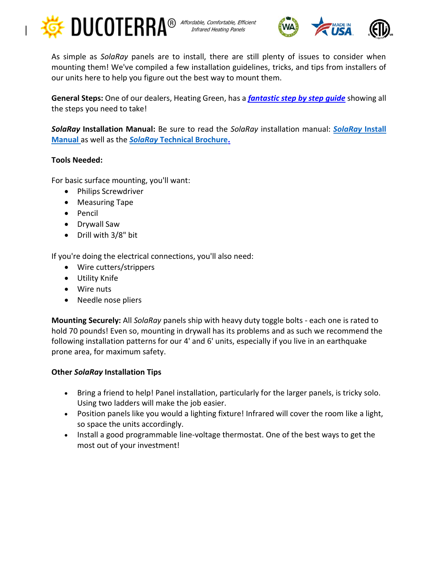



As simple as *SolaRay* panels are to install, there are still plenty of issues to consider when mounting them! We've compiled a few installation guidelines, tricks, and tips from installers of our units here to help you figure out the best way to mount them.

**General Steps:** One of our dealers, Heating Green, has a *[fantastic step by step guide](http://www.heatinggreen.com/sola-ray-installation/)* showing all the steps you need to take!

*SolaRay* **Installation Manual:** Be sure to read the *SolaRay* installation manual: *[SolaRay](https://www.ducoterra.com/wp-content/uploads/2021/04/Ducoterra-Heating-Panel-Installation-Manual_ENGLISH-2021.pdf)* **Install [Manual](https://www.ducoterra.com/wp-content/uploads/2021/04/Ducoterra-Heating-Panel-Installation-Manual_ENGLISH-2021.pdf)** as well as the *SolaRay* **[Technical Brochure.](https://www.ducoterra.com/wp-content/uploads/2021/04/Technical-Brochure-SolaRay-II-v14.pdf)**

## **Tools Needed:**

For basic surface mounting, you'll want:

- Philips Screwdriver
- Measuring Tape
- Pencil
- Drywall Saw
- Drill with 3/8" bit

If you're doing the electrical connections, you'll also need:

- Wire cutters/strippers
- Utility Knife
- Wire nuts
- Needle nose pliers

**Mounting Securely:** All *SolaRay* panels ship with heavy duty toggle bolts - each one is rated to hold 70 pounds! Even so, mounting in drywall has its problems and as such we recommend the following installation patterns for our 4' and 6' units, especially if you live in an earthquake prone area, for maximum safety.

## **Other** *SolaRay* **Installation Tips**

- Bring a friend to help! Panel installation, particularly for the larger panels, is tricky solo. Using two ladders will make the job easier.
- Position panels like you would a lighting fixture! Infrared will cover the room like a light, so space the units accordingly.
- Install a good programmable line-voltage thermostat. One of the best ways to get the most out of your investment!